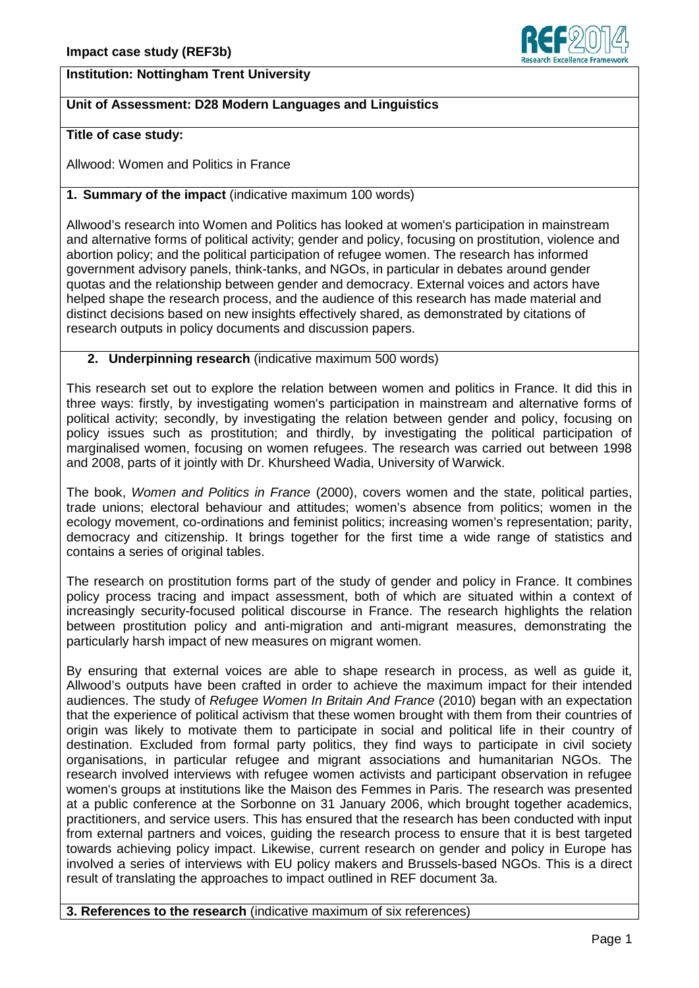# **Institution: Nottingham Trent University**

## **Unit of Assessment: D28 Modern Languages and Linguistics**

#### **Title of case study:**

Allwood: Women and Politics in France

### **1. Summary of the impact** (indicative maximum 100 words)

Allwood's research into Women and Politics has looked at women's participation in mainstream and alternative forms of political activity; gender and policy, focusing on prostitution, violence and abortion policy; and the political participation of refugee women. The research has informed government advisory panels, think-tanks, and NGOs, in particular in debates around gender quotas and the relationship between gender and democracy. External voices and actors have helped shape the research process, and the audience of this research has made material and distinct decisions based on new insights effectively shared, as demonstrated by citations of research outputs in policy documents and discussion papers.

## **2. Underpinning research** (indicative maximum 500 words)

This research set out to explore the relation between women and politics in France. It did this in three ways: firstly, by investigating women's participation in mainstream and alternative forms of political activity; secondly, by investigating the relation between gender and policy, focusing on policy issues such as prostitution; and thirdly, by investigating the political participation of marginalised women, focusing on women refugees. The research was carried out between 1998 and 2008, parts of it jointly with Dr. Khursheed Wadia, University of Warwick.

The book, *Women and Politics in France* (2000), covers women and the state, political parties, trade unions; electoral behaviour and attitudes; women's absence from politics; women in the ecology movement, co-ordinations and feminist politics; increasing women's representation; parity, democracy and citizenship. It brings together for the first time a wide range of statistics and contains a series of original tables.

The research on prostitution forms part of the study of gender and policy in France. It combines policy process tracing and impact assessment, both of which are situated within a context of increasingly security-focused political discourse in France. The research highlights the relation between prostitution policy and anti-migration and anti-migrant measures, demonstrating the particularly harsh impact of new measures on migrant women.

By ensuring that external voices are able to shape research in process, as well as guide it, Allwood's outputs have been crafted in order to achieve the maximum impact for their intended audiences. The study of *Refugee Women In Britain And France* (2010) began with an expectation that the experience of political activism that these women brought with them from their countries of origin was likely to motivate them to participate in social and political life in their country of destination. Excluded from formal party politics, they find ways to participate in civil society organisations, in particular refugee and migrant associations and humanitarian NGOs. The research involved interviews with refugee women activists and participant observation in refugee women's groups at institutions like the Maison des Femmes in Paris. The research was presented at a public conference at the Sorbonne on 31 January 2006, which brought together academics, practitioners, and service users. This has ensured that the research has been conducted with input from external partners and voices, guiding the research process to ensure that it is best targeted towards achieving policy impact. Likewise, current research on gender and policy in Europe has involved a series of interviews with EU policy makers and Brussels-based NGOs. This is a direct result of translating the approaches to impact outlined in REF document 3a.

**3. References to the research** (indicative maximum of six references)

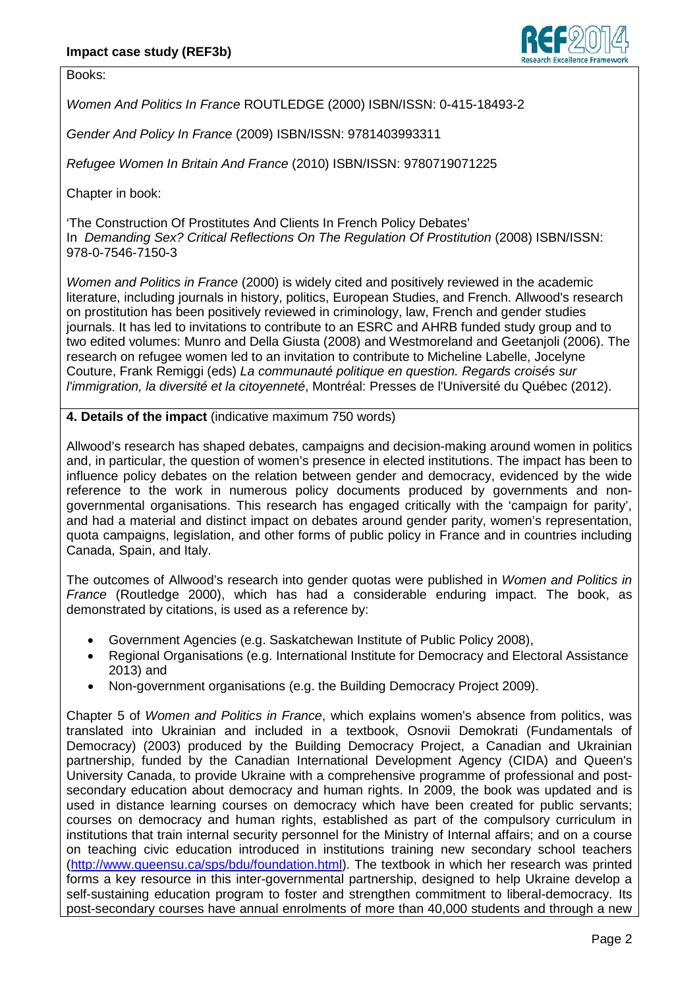

Books:

*Women And Politics In France* ROUTLEDGE (2000) ISBN/ISSN: 0-415-18493-2

*Gender And Policy In France* (2009) ISBN/ISSN: 9781403993311

*Refugee Women In Britain And France* (2010) ISBN/ISSN: 9780719071225

Chapter in book:

'The Construction Of Prostitutes And Clients In French Policy Debates' In *Demanding Sex? Critical Reflections On The Regulation Of Prostitution* (2008) ISBN/ISSN: 978-0-7546-7150-3

*Women and Politics in France* (2000) is widely cited and positively reviewed in the academic literature, including journals in history, politics, European Studies, and French. Allwood's research on prostitution has been positively reviewed in criminology, law, French and gender studies journals. It has led to invitations to contribute to an ESRC and AHRB funded study group and to two edited volumes: Munro and Della Giusta (2008) and Westmoreland and Geetanjoli (2006). The research on refugee women led to an invitation to contribute to Micheline Labelle, Jocelyne Couture, Frank Remiggi (eds) *La communauté politique en question. Regards croisés sur l'immigration, la diversité et la citoyenneté*, Montréal: Presses de l'Université du Québec (2012).

**4. Details of the impact** (indicative maximum 750 words)

Allwood's research has shaped debates, campaigns and decision-making around women in politics and, in particular, the question of women's presence in elected institutions. The impact has been to influence policy debates on the relation between gender and democracy, evidenced by the wide reference to the work in numerous policy documents produced by governments and nongovernmental organisations. This research has engaged critically with the 'campaign for parity', and had a material and distinct impact on debates around gender parity, women's representation, quota campaigns, legislation, and other forms of public policy in France and in countries including Canada, Spain, and Italy.

The outcomes of Allwood's research into gender quotas were published in *Women and Politics in France* (Routledge 2000), which has had a considerable enduring impact. The book, as demonstrated by citations, is used as a reference by:

- Government Agencies (e.g. Saskatchewan Institute of Public Policy 2008),
- Regional Organisations (e.g. International Institute for Democracy and Electoral Assistance 2013) and
- Non-government organisations (e.g. the Building Democracy Project 2009).

Chapter 5 of *Women and Politics in France*, which explains women's absence from politics, was translated into Ukrainian and included in a textbook, Osnovii Demokrati (Fundamentals of Democracy) (2003) produced by the Building Democracy Project, a Canadian and Ukrainian partnership, funded by the Canadian International Development Agency (CIDA) and Queen's University Canada, to provide Ukraine with a comprehensive programme of professional and postsecondary education about democracy and human rights. In 2009, the book was updated and is used in distance learning courses on democracy which have been created for public servants; courses on democracy and human rights, established as part of the compulsory curriculum in institutions that train internal security personnel for the Ministry of Internal affairs; and on a course on teaching civic education introduced in institutions training new secondary school teachers [\(http://www.queensu.ca/sps/bdu/foundation.html\)](http://www.queensu.ca/sps/bdu/foundation.html). The textbook in which her research was printed forms a key resource in this inter-governmental partnership, designed to help Ukraine develop a self-sustaining education program to foster and strengthen commitment to liberal-democracy. Its post-secondary courses have annual enrolments of more than 40,000 students and through a new